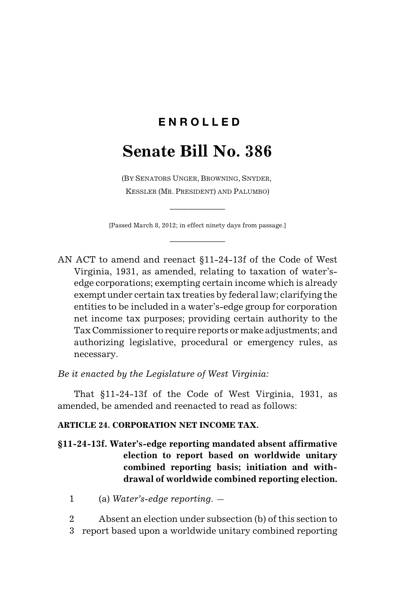## **E N R O L L E D**

## **Senate Bill No. 386**

(BY SENATORS UNGER, BROWNING, SNYDER, KESSLER (MR. PRESIDENT) AND PALUMBO)

[Passed March 8, 2012; in effect ninety days from passage.] \_\_\_\_\_\_\_\_\_\_\_\_

\_\_\_\_\_\_\_\_\_\_\_\_

AN ACT to amend and reenact §11-24-13f of the Code of West Virginia, 1931, as amended, relating to taxation of water'sedge corporations; exempting certain income which is already exempt under certain tax treaties by federal law; clarifying the entities to be included in a water's-edge group for corporation net income tax purposes; providing certain authority to the Tax Commissioner to require reports or make adjustments; and authorizing legislative, procedural or emergency rules, as necessary.

*Be it enacted by the Legislature of West Virginia:*

That §11-24-13f of the Code of West Virginia, 1931, as amended, be amended and reenacted to read as follows:

## **ARTICLE 24. CORPORATION NET INCOME TAX.**

- **§11-24-13f. Water's-edge reporting mandated absent affirmative election to report based on worldwide unitary combined reporting basis; initiation and withdrawal of worldwide combined reporting election.**
	- 1 (a) *Water's-edge reporting*. —
	- 2 Absent an election under subsection (b) of this section to 3 report based upon a worldwide unitary combined reporting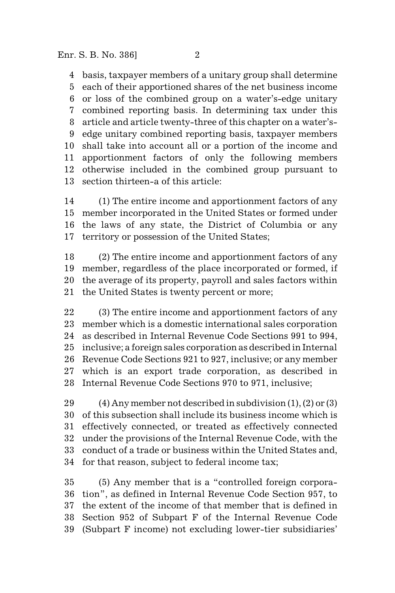basis, taxpayer members of a unitary group shall determine each of their apportioned shares of the net business income or loss of the combined group on a water's-edge unitary combined reporting basis. In determining tax under this article and article twenty-three of this chapter on a water's- edge unitary combined reporting basis, taxpayer members shall take into account all or a portion of the income and apportionment factors of only the following members otherwise included in the combined group pursuant to section thirteen-a of this article:

 (1) The entire income and apportionment factors of any member incorporated in the United States or formed under the laws of any state, the District of Columbia or any territory or possession of the United States;

 (2) The entire income and apportionment factors of any member, regardless of the place incorporated or formed, if the average of its property, payroll and sales factors within the United States is twenty percent or more;

 (3) The entire income and apportionment factors of any member which is a domestic international sales corporation as described in Internal Revenue Code Sections 991 to 994, inclusive; a foreign sales corporation as described in Internal Revenue Code Sections 921 to 927, inclusive; or any member which is an export trade corporation, as described in Internal Revenue Code Sections 970 to 971, inclusive;

29 (4) Any member not described in subdivision  $(1)$ ,  $(2)$  or  $(3)$  of this subsection shall include its business income which is effectively connected, or treated as effectively connected under the provisions of the Internal Revenue Code, with the conduct of a trade or business within the United States and, for that reason, subject to federal income tax;

 (5) Any member that is a "controlled foreign corpora- tion", as defined in Internal Revenue Code Section 957, to the extent of the income of that member that is defined in Section 952 of Subpart F of the Internal Revenue Code (Subpart F income) not excluding lower-tier subsidiaries'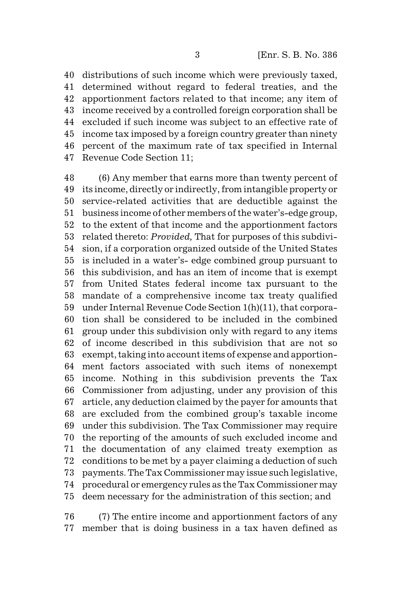distributions of such income which were previously taxed, determined without regard to federal treaties, and the apportionment factors related to that income; any item of income received by a controlled foreign corporation shall be excluded if such income was subject to an effective rate of income tax imposed by a foreign country greater than ninety percent of the maximum rate of tax specified in Internal Revenue Code Section 11;

 (6) Any member that earns more than twenty percent of its income, directly or indirectly, from intangible property or service-related activities that are deductible against the business income of other members of the water's-edge group, to the extent of that income and the apportionment factors related thereto: *Provided,* That for purposes of this subdivi- sion, if a corporation organized outside of the United States is included in a water's- edge combined group pursuant to this subdivision, and has an item of income that is exempt from United States federal income tax pursuant to the mandate of a comprehensive income tax treaty qualified under Internal Revenue Code Section 1(h)(11), that corpora- tion shall be considered to be included in the combined group under this subdivision only with regard to any items of income described in this subdivision that are not so exempt, taking into account items of expense and apportion- ment factors associated with such items of nonexempt income. Nothing in this subdivision prevents the Tax Commissioner from adjusting, under any provision of this article, any deduction claimed by the payer for amounts that are excluded from the combined group's taxable income under this subdivision. The Tax Commissioner may require the reporting of the amounts of such excluded income and the documentation of any claimed treaty exemption as conditions to be met by a payer claiming a deduction of such payments. The Tax Commissioner may issue such legislative, procedural or emergency rules as the Tax Commissioner may deem necessary for the administration of this section; and

 (7) The entire income and apportionment factors of any member that is doing business in a tax haven defined as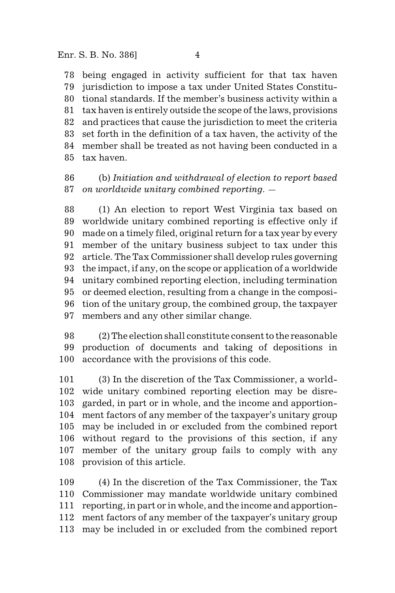being engaged in activity sufficient for that tax haven jurisdiction to impose a tax under United States Constitu- tional standards. If the member's business activity within a tax haven is entirely outside the scope of the laws, provisions and practices that cause the jurisdiction to meet the criteria set forth in the definition of a tax haven, the activity of the member shall be treated as not having been conducted in a tax haven.

 (b) *Initiation and withdrawal of election to report based on worldwide unitary combined reporting*. —

 (1) An election to report West Virginia tax based on worldwide unitary combined reporting is effective only if made on a timely filed, original return for a tax year by every member of the unitary business subject to tax under this article. The Tax Commissioner shall develop rules governing the impact, if any, on the scope or application of a worldwide unitary combined reporting election, including termination or deemed election, resulting from a change in the composi- tion of the unitary group, the combined group, the taxpayer members and any other similar change.

 (2) The election shall constitute consent to the reasonable production of documents and taking of depositions in accordance with the provisions of this code.

 (3) In the discretion of the Tax Commissioner, a world- wide unitary combined reporting election may be disre- garded, in part or in whole, and the income and apportion- ment factors of any member of the taxpayer's unitary group may be included in or excluded from the combined report without regard to the provisions of this section, if any member of the unitary group fails to comply with any provision of this article.

 (4) In the discretion of the Tax Commissioner, the Tax Commissioner may mandate worldwide unitary combined reporting, in part or in whole, and the income and apportion- ment factors of any member of the taxpayer's unitary group may be included in or excluded from the combined report